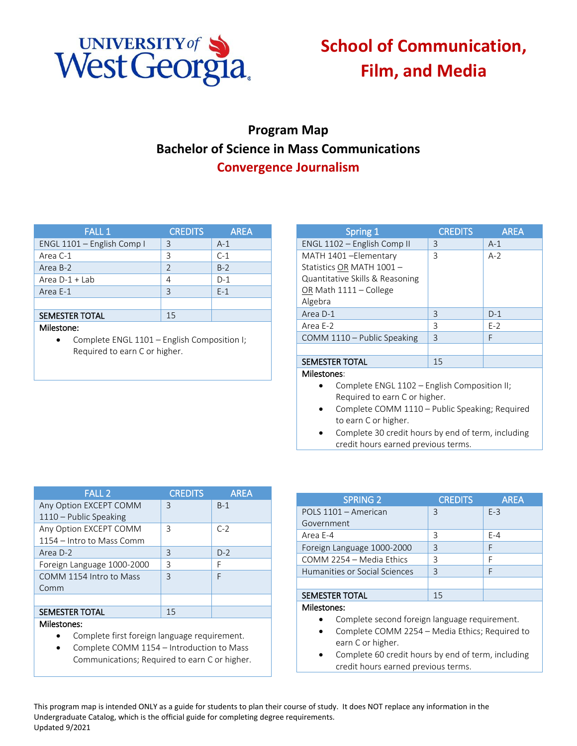

## **School of Communication, Film, and Media**

## **Program Map Bachelor of Science in Mass Communications Convergence Journalism**

| <b>FALL 1</b>              | <b>CREDITS</b> | <b>AREA</b> |
|----------------------------|----------------|-------------|
| ENGL 1101 - English Comp I | 3              | $A-1$       |
| Area C-1                   | 3              | $C-1$       |
| Area B-2                   | $\mathcal{P}$  | $B-2$       |
| Area $D-1$ + Lab           | 4              | $D-1$       |
| Area E-1                   | 3              | $E-1$       |
|                            |                |             |
| <b>SEMESTER TOTAL</b>      | 15             |             |
| Milestone:                 |                |             |

• Complete ENGL 1101 – English Composition I; Required to earn C or higher.

| Spring 1                                     | <b>CREDITS</b> | <b>AREA</b> |
|----------------------------------------------|----------------|-------------|
| ENGL 1102 - English Comp II                  | 3              | $A-1$       |
| MATH 1401 - Elementary                       | 3              | $A-2$       |
| Statistics OR MATH 1001 -                    |                |             |
| Quantitative Skills & Reasoning              |                |             |
| OR Math 1111 - College                       |                |             |
| Algebra                                      |                |             |
| Area D-1                                     | 3              | $D-1$       |
| Area E-2                                     | 3              | $E-2$       |
| COMM 1110 - Public Speaking                  | 3              | F           |
|                                              |                |             |
| <b>SEMESTER TOTAL</b>                        | 15             |             |
| Milestones:                                  |                |             |
| Complete ENGL 1102 - English Composition II; |                |             |
| Required to earn C or higher.                |                |             |

- Complete COMM 1110 Public Speaking; Required to earn C or higher.
- Complete 30 credit hours by end of term, including credit hours earned previous terms.

| <b>FALL 2</b>              | <b>CREDITS</b> | <b>AREA</b> |
|----------------------------|----------------|-------------|
| Any Option EXCEPT COMM     | ζ              | $B-1$       |
| 1110 - Public Speaking     |                |             |
| Any Option EXCEPT COMM     | 3              | $C-2$       |
| 1154 – Intro to Mass Comm  |                |             |
| Area D-2                   | 3              | $D-2$       |
| Foreign Language 1000-2000 | 3              | F           |
| COMM 1154 Intro to Mass    | $\mathsf{R}$   | F           |
| Comm                       |                |             |
|                            |                |             |
| <b>SEMESTER TOTAL</b>      | 15             |             |
| Milestones:                |                |             |

- Complete first foreign language requirement.
- Complete COMM 1154 Introduction to Mass Communications; Required to earn C or higher.

| <b>SPRING 2</b>               | <b>CREDITS</b> | <b>AREA</b> |
|-------------------------------|----------------|-------------|
| POLS 1101 - American          | 3              | $F-3$       |
| Government                    |                |             |
| Area E-4                      | 3              | $F - 4$     |
| Foreign Language 1000-2000    | 3              | F           |
| COMM 2254 - Media Ethics      | ς              | F           |
| Humanities or Social Sciences | ξ              | F           |
|                               |                |             |
| <b>SEMESTER TOTAL</b>         | 15             |             |
| Milestones:                   |                |             |

- Complete second foreign language requirement.
- Complete COMM 2254 Media Ethics; Required to earn C or higher.
- Complete 60 credit hours by end of term, including credit hours earned previous terms.

This program map is intended ONLY as a guide for students to plan their course of study. It does NOT replace any information in the Undergraduate Catalog, which is the official guide for completing degree requirements. Updated 9/2021